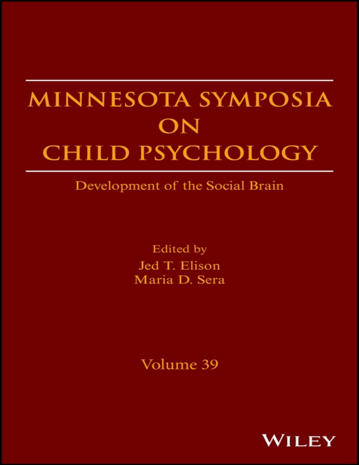# **MINNESOTA SYMPOSIA** ON **CHILD PSYCHOLOGY**

#### Development of the Social Brain

Edited by Jed T. Elison Maria D. Sera

Volume 39

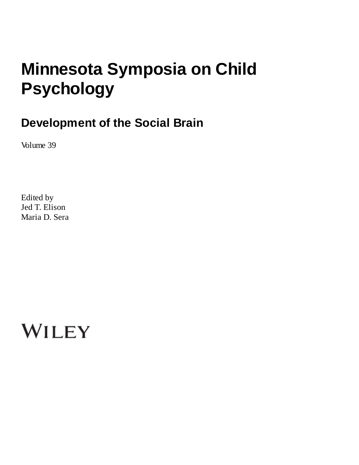# **Minnesota Symposia on Child Psychology**

#### **Development of the Social Brain**

Volume 39

Edited by Jed T. Elison Maria D. Sera

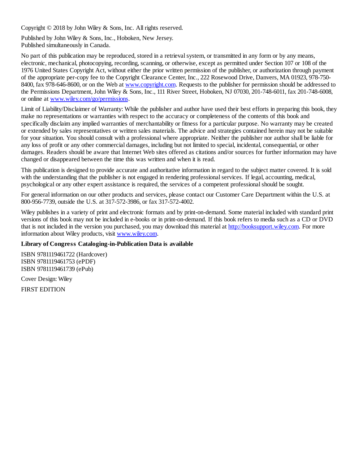Copyright © 2018 by John Wiley & Sons, Inc. All rights reserved.

Published by John Wiley & Sons, Inc., Hoboken, New Jersey. Published simultaneously in Canada.

No part of this publication may be reproduced, stored in a retrieval system, or transmitted in any form or by any means, electronic, mechanical, photocopying, recording, scanning, or otherwise, except as permitted under Section 107 or 108 of the 1976 United States Copyright Act, without either the prior written permission of the publisher, or authorization through payment of the appropriate per-copy fee to the Copyright Clearance Center, Inc., 222 Rosewood Drive, Danvers, MA 01923, 978-750 8400, fax 978-646-8600, or on the Web at [www.copyright.com.](http://www.copyright.com) Requests to the publisher for permission should be addressed to the Permissions Department, John Wiley & Sons, Inc., 111 River Street, Hoboken, NJ 07030, 201-748-6011, fax 201-748-6008, or online at [www.wiley.com/go/permissions.](http://www.wiley.com/go/permissions)

Limit of Liability/Disclaimer of Warranty: While the publisher and author have used their best efforts in preparing this book, they make no representations or warranties with respect to the accuracy or completeness of the contents of this book and specifically disclaim any implied warranties of merchantability or fitness for a particular purpose. No warranty may be created or extended by sales representatives or written sales materials. The advice and strategies contained herein may not be suitable for your situation. You should consult with a professional where appropriate. Neither the publisher nor author shall be liable for any loss of profit or any other commercial damages, including but not limited to special, incidental, consequential, or other damages. Readers should be aware that Internet Web sites offered as citations and/or sources for further information may have changed or disappeared between the time this was written and when it is read.

This publication is designed to provide accurate and authoritative information in regard to the subject matter covered. It is sold with the understanding that the publisher is not engaged in rendering professional services. If legal, accounting, medical, psychological or any other expert assistance is required, the services of a competent professionalshould be sought.

For general information on our other products and services, please contact our Customer Care Department within the U.S. at 800-956-7739, outside the U.S. at 317-572-3986, or fax 317-572-4002.

Wiley publishes in a variety of print and electronic formats and by print-on-demand. Some material included with standard print versions of this book may not be included in e-books or in print-on-demand. If this book refers to media such as a CD or DVD that is not included in the version you purchased, you may download this material at [http://booksupport.wiley.com.](http://booksupport.wiley.com) For more information about Wiley products, visit [www.wiley.com.](http://www.wiley.com)

#### **Library of Congress Cataloging-in-Publication Data is available**

ISBN 9781119461722 (Hardcover) ISBN 9781119461753 (ePDF) ISBN 9781119461739 (ePub)

Cover Design: Wiley

FIRST EDITION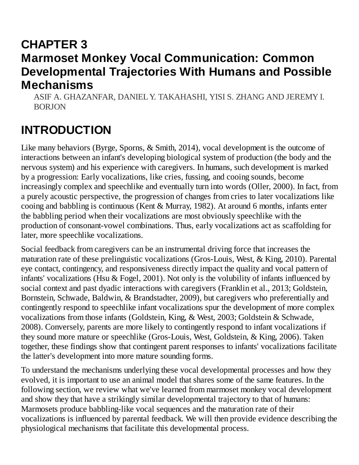#### **CHAPTER 3 Marmoset Monkey Vocal Communication: Common Developmental Trajectories With Humans and Possible Mechanisms**

ASIF A. GHAZANFAR, DANIELY. TAKAHASHI, YISI S. ZHANG AND JEREMY I. BORJON

#### **INTRODUCTION**

Like many behaviors (Byrge, Sporns, & Smith, 2014), vocal development is the outcome of interactions between an infant's developing biological system of production (the body and the nervous system) and his experience with caregivers. In humans, such development is marked by a progression: Early vocalizations, like cries, fussing, and cooing sounds, become increasingly complex and speechlike and eventually turn into words (Oller, 2000). In fact, from a purely acoustic perspective, the progression of changes from cries to later vocalizations like cooing and babbling is continuous (Kent & Murray, 1982). At around 6 months, infants enter the babbling period when their vocalizations are most obviously speechlike with the production of consonant-vowel combinations. Thus, early vocalizations act as scaffolding for later, more speechlike vocalizations.

Social feedback from caregivers can be an instrumental driving force that increases the maturation rate of these prelinguistic vocalizations (Gros-Louis, West, & King, 2010). Parental eye contact, contingency, and responsiveness directly impact the quality and vocal pattern of infants' vocalizations (Hsu & Fogel, 2001). Not only is the volubility of infants influenced by social context and past dyadic interactions with caregivers (Franklin et al., 2013; Goldstein, Bornstein, Schwade, Baldwin, & Brandstadter, 2009), but caregivers who preferentially and contingently respond to speechlike infant vocalizations spur the development of more complex vocalizations from those infants (Goldstein, King, & West, 2003; Goldstein & Schwade, 2008). Conversely, parents are more likely to contingently respond to infant vocalizations if they sound more mature or speechlike (Gros-Louis, West, Goldstein, & King, 2006). Taken together, these findings show that contingent parent responses to infants' vocalizations facilitate the latter's development into more mature sounding forms.

To understand the mechanisms underlying these vocal developmental processes and how they evolved, it is important to use an animal model that shares some of the same features. In the following section, we review what we've learned from marmoset monkey vocal development and show they that have a strikingly similar developmental trajectory to that of humans: Marmosets produce babbling-like vocal sequences and the maturation rate of their vocalizations is influenced by parental feedback. We will then provide evidence describing the physiological mechanisms that facilitate this developmental process.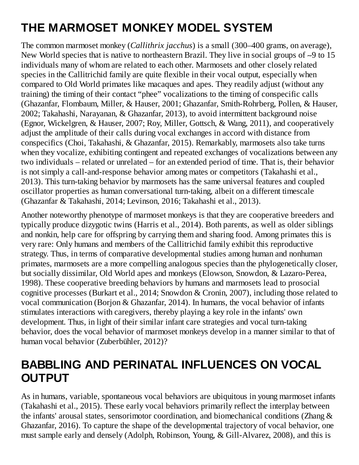# **THE MARMOSET MONKEY MODEL SYSTEM**

The common marmoset monkey (*Callithrix jacchus*) is a small (300–400 grams, on average), New World species that is native to northeastern Brazil. They live in social groups of  $\sim$ 9 to 15 individuals many of whom are related to each other. Marmosets and other closely related species in the Callitrichid family are quite flexible in their vocal output, especially when compared to Old World primates like macaques and apes. They readily adjust (without any training) the timing of their contact "phee" vocalizations to the timing of conspecific calls (Ghazanfar, Flombaum, Miller, & Hauser, 2001; Ghazanfar, Smith-Rohrberg, Pollen, & Hauser, 2002; Takahashi, Narayanan, & Ghazanfar, 2013), to avoid intermittent background noise (Egnor, Wickelgren, & Hauser, 2007; Roy, Miller, Gottsch, & Wang, 2011), and cooperatively adjust the amplitude of their calls during vocal exchanges in accord with distance from conspecifics (Choi, Takahashi, & Ghazanfar, 2015). Remarkably, marmosets also take turns when they vocalize, exhibiting contingent and repeated exchanges of vocalizations between any two individuals – related or unrelated – for an extended period of time. That is, their behavior is not simply a call-and-response behavior among mates or competitors (Takahashi et al., 2013). This turn-taking behavior by marmosets has the same universal features and coupled oscillator properties as human conversational turn-taking, albeit on a different timescale (Ghazanfar & Takahashi, 2014; Levinson, 2016; Takahashi et al., 2013).

Another noteworthy phenotype of marmoset monkeys is that they are cooperative breeders and typically produce dizygotic twins (Harris et al., 2014). Both parents, as well as older siblings and nonkin, help care for offspring by carrying them and sharing food. Among primates this is very rare: Only humans and members of the Callitrichid family exhibit this reproductive strategy. Thus, in terms of comparative developmental studies among human and nonhuman primates, marmosets are a more compelling analogous species than the phylogenetically closer, but socially dissimilar, Old World apes and monkeys (Elowson, Snowdon, & Lazaro-Perea, 1998). These cooperative breeding behaviors by humans and marmosets lead to prosocial cognitive processes (Burkart et al., 2014; Snowdon & Cronin, 2007), including those related to vocal communication (Borjon & Ghazanfar, 2014). In humans, the vocal behavior of infants stimulates interactions with caregivers, thereby playing a key role in the infants' own development. Thus, in light of their similar infant care strategies and vocal turn-taking behavior, does the vocal behavior of marmoset monkeys develop in a manner similar to that of human vocal behavior (Zuberbühler, 2012)?

#### **BABBLING AND PERINATAL INFLUENCES ON VOCAL OUTPUT**

As in humans, variable, spontaneous vocal behaviors are ubiquitous in young marmoset infants (Takahashi et al., 2015). These early vocal behaviors primarily reflect the interplay between the infants' arousal states, sensorimotor coordination, and biomechanical conditions (Zhang & Ghazanfar, 2016). To capture the shape of the developmental trajectory of vocal behavior, one must sample early and densely (Adolph, Robinson, Young, & Gill-Alvarez, 2008), and this is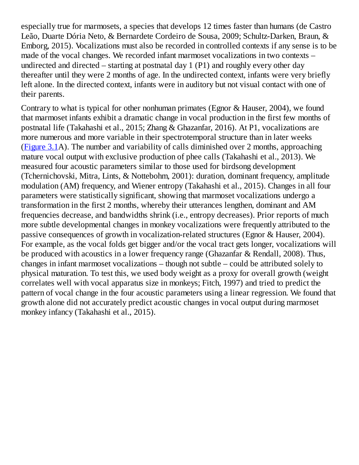especially true for marmosets, a species that develops 12 times faster than humans (de Castro Leão, Duarte Dória Neto, & Bernardete Cordeiro de Sousa, 2009; Schultz-Darken, Braun, & Emborg, 2015). Vocalizations must also be recorded in controlled contexts if any sense is to be made of the vocal changes. We recorded infant marmoset vocalizations in two contexts – undirected and directed – starting at postnatal day 1 (P1) and roughly every other day thereafter until they were 2 months of age. In the undirected context, infants were very briefly left alone. In the directed context, infants were in auditory but not visual contact with one of their parents.

<span id="page-5-0"></span>Contrary to what is typical for other nonhuman primates (Egnor & Hauser, 2004), we found that marmoset infants exhibit a dramatic change in vocal production in the first few months of postnatal life (Takahashi et al., 2015; Zhang & Ghazanfar, 2016). At P1, vocalizations are more numerous and more variable in their spectrotemporal structure than in later weeks ([Figure](#page-6-0) 3.1A). The number and variability of calls diminished over 2 months, approaching mature vocal output with exclusive production of phee calls (Takahashi et al., 2013). We measured four acoustic parameters similar to those used for birdsong development (Tchernichovski, Mitra, Lints, & Nottebohm, 2001): duration, dominant frequency, amplitude modulation (AM) frequency, and Wiener entropy (Takahashi et al., 2015). Changes in all four parameters were statistically significant, showing that marmoset vocalizations undergo a transformation in the first 2 months, whereby their utterances lengthen, dominant and AM frequencies decrease, and bandwidths shrink (i.e., entropy decreases). Prior reports of much more subtle developmental changes in monkey vocalizations were frequently attributed to the passive consequences of growth in vocalization-related structures (Egnor & Hauser, 2004). For example, as the vocal folds get bigger and/or the vocal tract gets longer, vocalizations will be produced with acoustics in a lower frequency range (Ghazanfar & Rendall, 2008). Thus, changes in infant marmoset vocalizations – though not subtle – could be attributed solely to physical maturation. To test this, we used body weight as a proxy for overall growth (weight correlates well with vocal apparatus size in monkeys; Fitch, 1997) and tried to predict the pattern of vocal change in the four acoustic parameters using a linear regression. We found that growth alone did not accurately predict acoustic changes in vocal output during marmoset monkey infancy (Takahashi et al., 2015).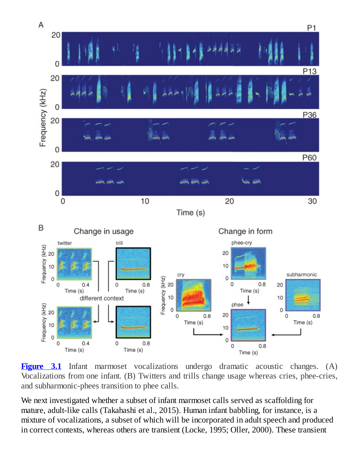

<span id="page-6-0"></span>**[Figure](#page-5-0) 3.1** Infant marmoset vocalizations undergo dramatic acoustic changes. (A) Vocalizations from one infant. (B) Twitters and trills change usage whereas cries, phee-cries, and subharmonic-phees transition to phee calls.

We next investigated whether a subset of infant marmoset calls served as scaffolding for mature, adult-like calls (Takahashi et al., 2015). Human infant babbling, for instance, is a mixture of vocalizations, a subset of which will be incorporated in adult speech and produced in correct contexts, whereas others are transient (Locke, 1995; Oller, 2000). These transient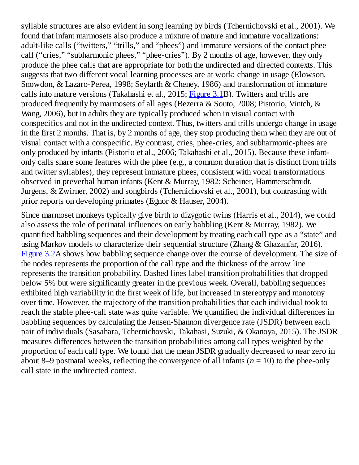syllable structures are also evident in song learning by birds (Tchernichovski et al., 2001). We found that infant marmosets also produce a mixture of mature and immature vocalizations: adult-like calls ("twitters," "trills," and "phees") and immature versions of the contact phee call ("cries," "subharmonic phees," "phee-cries"). By 2 months of age, however, they only produce the phee calls that are appropriate for both the undirected and directed contexts. This suggests that two different vocal learning processes are at work: change in usage (Elowson, Snowdon, & Lazaro-Perea, 1998; Seyfarth & Cheney, 1986) and transformation of immature calls into mature versions (Takahashi et al., 2015; [Figure](#page-6-0) 3.1B). Twitters and trills are produced frequently by marmosets of all ages (Bezerra & Souto, 2008; Pistorio, Vintch, & Wang, 2006), but in adults they are typically produced when in visual contact with conspecifics and not in the undirected context. Thus, twitters and trills undergo change in usage in the first 2 months. That is, by 2 months of age, they stop producing them when they are out of visual contact with a conspecific. By contrast, cries, phee-cries, and subharmonic-phees are only produced by infants (Pistorio et al., 2006; Takahashi et al., 2015). Because these infantonly calls share some features with the phee (e.g., a common duration that is distinct from trills and twitter syllables), they represent immature phees, consistent with vocal transformations observed in preverbal human infants (Kent & Murray, 1982; Scheiner, Hammerschmidt, Jurgens, & Zwirner, 2002) and songbirds (Tchernichovski et al., 2001), but contrasting with prior reports on developing primates (Egnor & Hauser, 2004).

<span id="page-7-0"></span>Since marmoset monkeys typically give birth to dizygotic twins (Harris et al., 2014), we could also assess the role of perinatal influences on early babbling (Kent & Murray, 1982). We quantified babbling sequences and their development by treating each call type as a "state" and using Markov models to characterize their sequential structure (Zhang & Ghazanfar, 2016). [Figure](#page-8-0) 3.2A shows how babbling sequence change over the course of development. The size of the nodes represents the proportion of the call type and the thickness of the arrow line represents the transition probability. Dashed lines label transition probabilities that dropped below 5% but were significantly greater in the previous week. Overall, babbling sequences exhibited high variability in the first week of life, but increased in stereotypy and monotony over time. However, the trajectory of the transition probabilities that each individual took to reach the stable phee-call state was quite variable. We quantified the individual differences in babbling sequences by calculating the Jensen-Shannon divergence rate (JSDR) between each pair of individuals (Sasahara, Tchernichovski, Takahasi, Suzuki, & Okanoya, 2015). The JSDR measures differences between the transition probabilities among call types weighted by the proportion of each call type. We found that the mean JSDR gradually decreased to near zero in about 8–9 postnatal weeks, reflecting the convergence of all infants ( $n = 10$ ) to the phee-only call state in the undirected context.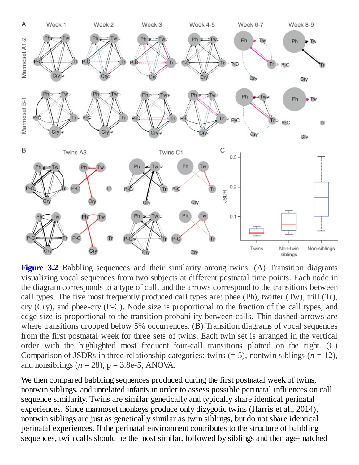

<span id="page-8-0"></span>**[Figure](#page-7-0)** 3.2 Babbling sequences and their similarity among twins. (A) Transition diagrams visualizing vocal sequences from two subjects at different postnatal time points. Each node in the diagram corresponds to a type of call, and the arrows correspond to the transitions between call types. The five most frequently produced call types are: phee (Ph), twitter (Tw), trill (Tr), cry (Cry), and phee-cry (P-C). Node size is proportional to the fraction of the call types, and edge size is proportional to the transition probability between calls. Thin dashed arrows are where transitions dropped below 5% occurrences. (B) Transition diagrams of vocal sequences from the first postnatal week for three sets of twins. Each twin set is arranged in the vertical order with the highlighted most frequent four-call transitions plotted on the right. (C) Comparison of JSDRs in three relationship categories: twins (= 5), nontwin siblings (*n* = 12), and nonsiblings  $(n = 28)$ ,  $p = 3.8e-5$ , ANOVA.

We then compared babbling sequences produced during the first postnatal week of twins, nontwin siblings, and unrelated infants in order to assess possible perinatal influences on call sequence similarity. Twins are similar genetically and typically share identical perinatal experiences. Since marmoset monkeys produce only dizygotic twins (Harris et al., 2014), nontwin siblings are just as genetically similar as twin siblings, but do not share identical perinatal experiences. If the perinatal environment contributes to the structure of babbling sequences, twin calls should be the most similar, followed by siblings and then age-matched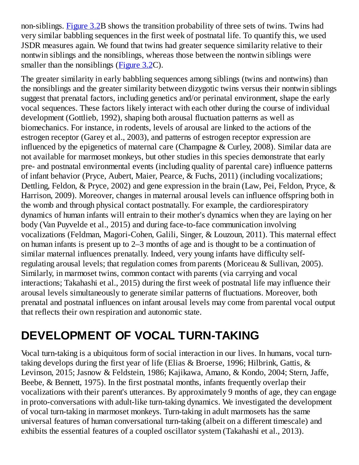non-siblings. [Figure](#page-8-0) 3.2B shows the transition probability of three sets of twins. Twins had very similar babbling sequences in the first week of postnatal life. To quantify this, we used JSDR measures again. We found that twins had greater sequence similarity relative to their nontwin siblings and the nonsiblings, whereas those between the nontwin siblings were smaller than the nonsiblings [\(Figure](#page-8-0) 3.2C).

The greater similarity in early babbling sequences among siblings (twins and nontwins) than the nonsiblings and the greater similarity between dizygotic twins versus their nontwin siblings suggest that prenatal factors, including genetics and/or perinatal environment, shape the early vocal sequences. These factors likely interact with each other during the course of individual development (Gottlieb, 1992), shaping both arousal fluctuation patterns as well as biomechanics. For instance, in rodents, levels of arousal are linked to the actions of the estrogen receptor (Garey et al., 2003), and patterns of estrogen receptor expression are influenced by the epigenetics of maternal care (Champagne & Curley, 2008). Similar data are not available for marmoset monkeys, but other studies in this species demonstrate that early pre- and postnatal environmental events (including quality of parental care) influence patterns of infant behavior (Pryce, Aubert, Maier, Pearce, & Fuchs, 2011) (including vocalizations; Dettling, Feldon, & Pryce, 2002) and gene expression in the brain (Law, Pei, Feldon, Pryce, & Harrison, 2009). Moreover, changes in maternal arousal levels can influence offspring both in the womb and through physical contact postnatally. For example, the cardiorespiratory dynamics of human infants will entrain to their mother's dynamics when they are laying on her body (Van Puyvelde et al., 2015) and during face-to-face communication involving vocalizations (Feldman, Magori-Cohen, Galili, Singer, & Louzoun, 2011). This maternal effect on human infants is present up to 2–3 months of age and is thought to be a continuation of similar maternal influences prenatally. Indeed, very young infants have difficulty selfregulating arousal levels; that regulation comes from parents (Moriceau & Sullivan, 2005). Similarly, in marmoset twins, common contact with parents (via carrying and vocal interactions; Takahashi et al., 2015) during the first week of postnatal life may influence their arousal levels simultaneously to generate similar patterns of fluctuations. Moreover, both prenatal and postnatal influences on infant arousal levels may come from parental vocal output that reflects their own respiration and autonomic state.

#### **DEVELOPMENT OF VOCAL TURN-TAKING**

Vocal turn-taking is a ubiquitous form of social interaction in our lives. In humans, vocal turntaking develops during the first year of life (Elias & Broerse, 1996; Hilbrink, Gattis, & Levinson, 2015; Jasnow & Feldstein, 1986; Kajikawa, Amano, & Kondo, 2004; Stern, Jaffe, Beebe, & Bennett, 1975). In the first postnatal months, infants frequently overlap their vocalizations with their parent's utterances. By approximately 9 months of age, they can engage in proto-conversations with adult-like turn-taking dynamics. We investigated the development of vocal turn-taking in marmoset monkeys. Turn-taking in adult marmosets has the same universal features of human conversational turn-taking (albeit on a different timescale) and exhibits the essential features of a coupled oscillator system (Takahashi et al., 2013).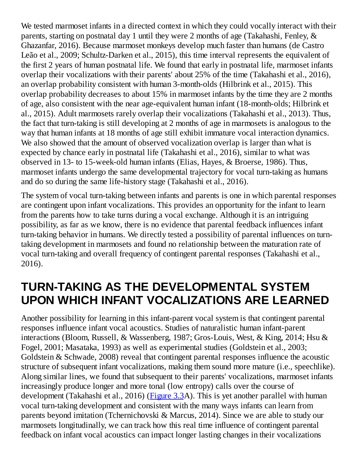We tested marmoset infants in a directed context in which they could vocally interact with their parents, starting on postnatal day 1 until they were 2 months of age (Takahashi, Fenley, & Ghazanfar, 2016). Because marmoset monkeys develop much faster than humans (de Castro Leão et al., 2009; Schultz-Darken et al., 2015), this time interval represents the equivalent of the first 2 years of human postnatal life. We found that early in postnatal life, marmoset infants overlap their vocalizations with their parents' about 25% of the time (Takahashi et al., 2016), an overlap probability consistent with human 3-month-olds (Hilbrink et al., 2015). This overlap probability decreases to about 15% in marmoset infants by the time they are 2 months of age, also consistent with the near age-equivalent human infant (18-month-olds; Hilbrink et al., 2015). Adult marmosets rarely overlap their vocalizations (Takahashi et al., 2013). Thus, the fact that turn-taking is still developing at 2 months of age in marmosets is analogous to the way that human infants at 18 months of age still exhibit immature vocal interaction dynamics. We also showed that the amount of observed vocalization overlap is larger than what is expected by chance early in postnatal life (Takahashi et al., 2016), similar to what was observed in 13- to 15-week-old human infants (Elias, Hayes, & Broerse, 1986). Thus, marmoset infants undergo the same developmental trajectory for vocal turn-taking as humans and do so during the same life-history stage (Takahashi et al., 2016).

The system of vocal turn-taking between infants and parents is one in which parental responses are contingent upon infant vocalizations. This provides an opportunity for the infant to learn from the parents how to take turns during a vocal exchange. Although it is an intriguing possibility, as far as we know, there is no evidence that parental feedback influences infant turn-taking behavior in humans. We directly tested a possibility of parental influences on turntaking development in marmosets and found no relationship between the maturation rate of vocal turn-taking and overall frequency of contingent parental responses (Takahashi et al., 2016).

#### **TURN-TAKING AS THE DEVELOPMENTAL SYSTEM UPON WHICH INFANT VOCALIZATIONS ARE LEARNED**

<span id="page-10-0"></span>Another possibility for learning in this infant-parent vocal system is that contingent parental responses influence infant vocal acoustics. Studies of naturalistic human infant-parent interactions (Bloom, Russell, & Wassenberg, 1987; Gros-Louis, West, & King, 2014; Hsu & Fogel, 2001; Masataka, 1993) as well as experimental studies (Goldstein et al., 2003; Goldstein & Schwade, 2008) reveal that contingent parental responses influence the acoustic structure of subsequent infant vocalizations, making them sound more mature (i.e., speechlike). Along similar lines, we found that subsequent to their parents' vocalizations, marmoset infants increasingly produce longer and more tonal (low entropy) calls over the course of development (Takahashi et al., 2016) (*[Figure](#page-11-0) 3.3A*). This is yet another parallel with human vocal turn-taking development and consistent with the many ways infants can learn from parents beyond imitation (Tchernichovski & Marcus, 2014). Since we are able to study our marmosets longitudinally, we can track how this real time influence of contingent parental feedback on infant vocal acoustics can impact longer lasting changes in their vocalizations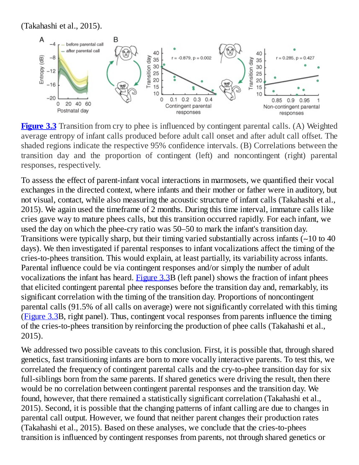(Takahashi et al., 2015).



<span id="page-11-0"></span>**[Figure](#page-10-0)** 3.3 Transition from cry to phee is influenced by contingent parental calls. (A) Weighted average entropy of infant calls produced before adult call onset and after adult call offset. The shaded regions indicate the respective 95% confidence intervals. (B) Correlations between the transition day and the proportion of contingent (left) and noncontingent (right) parental responses, respectively.

To assess the effect of parent-infant vocal interactions in marmosets, we quantified their vocal exchanges in the directed context, where infants and their mother or father were in auditory, but not visual, contact, while also measuring the acoustic structure of infant calls (Takahashi et al., 2015). We again used the timeframe of 2 months. During this time interval, immature calls like cries gave way to mature phees calls, but this transition occurred rapidly. For each infant, we used the day on which the phee-cry ratio was 50–50 to mark the infant's transition day. Transitions were typically sharp, but their timing varied substantially across infants  $(-10 \text{ to } 40$ days). We then investigated if parental responses to infant vocalizations affect the timing of the cries-to-phees transition. This would explain, at least partially, its variability across infants. Parental influence could be via contingent responses and/or simply the number of adult vocalizations the infant has heard. [Figure](#page-11-0) 3.3B (left panel) shows the fraction of infant phees that elicited contingent parental phee responses before the transition day and, remarkably, its significant correlation with the timing of the transition day. Proportions of noncontingent parental calls (91.5% of all calls on average) were not significantly correlated with this timing ([Figure](#page-11-0) 3.3B, right panel). Thus, contingent vocal responses from parents influence the timing of the cries-to-phees transition by reinforcing the production of phee calls (Takahashi et al., 2015).

We addressed two possible caveats to this conclusion. First, it is possible that, through shared genetics, fast transitioning infants are born to more vocally interactive parents. To test this, we correlated the frequency of contingent parental calls and the cry-to-phee transition day for six full-siblings born from the same parents. If shared genetics were driving the result, then there would be no correlation between contingent parental responses and the transition day. We found, however, that there remained a statistically significant correlation (Takahashi et al., 2015). Second, it is possible that the changing patterns of infant calling are due to changes in parental call output. However, we found that neither parent changes their production rates (Takahashi et al., 2015). Based on these analyses, we conclude that the cries-to-phees transition is influenced by contingent responses from parents, not through shared genetics or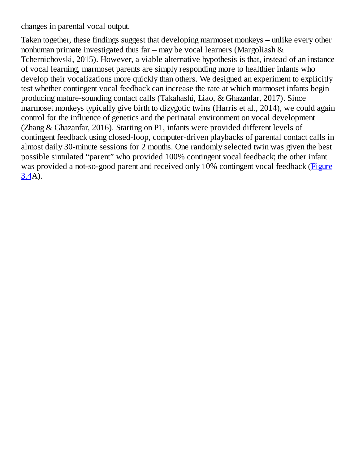changes in parental vocal output.

<span id="page-12-0"></span>Taken together, these findings suggest that developing marmoset monkeys – unlike every other nonhuman primate investigated thus far – may be vocal learners (Margoliash & Tchernichovski, 2015). However, a viable alternative hypothesis is that, instead of an instance of vocal learning, marmoset parents are simply responding more to healthier infants who develop their vocalizations more quickly than others. We designed an experiment to explicitly test whether contingent vocal feedback can increase the rate at which marmoset infants begin producing mature-sounding contact calls (Takahashi, Liao, & Ghazanfar, 2017). Since marmoset monkeys typically give birth to dizygotic twins (Harris et al., 2014), we could again control for the influence of genetics and the perinatal environment on vocal development (Zhang & Ghazanfar, 2016). Starting on P1, infants were provided different levels of contingent feedback using closed-loop, computer-driven playbacks of parental contact calls in almost daily 30-minute sessions for 2 months. One randomly selected twin was given the best possible simulated "parent" who provided 100% contingent vocal feedback; the other infant was provided a [not-so-good](#page-13-0) parent and received only 10% contingent vocal feedback (Figure 3.4A).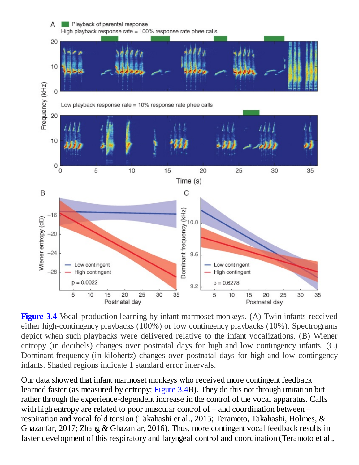

<span id="page-13-0"></span>**[Figure](#page-12-0)** 3.4 Vocal-production learning by infant marmoset monkeys. (A) Twin infants received either high-contingency playbacks (100%) or low contingency playbacks (10%). Spectrograms depict when such playbacks were delivered relative to the infant vocalizations. (B) Wiener entropy (in decibels) changes over postnatal days for high and low contingency infants. (C) Dominant frequency (in kilohertz) changes over postnatal days for high and low contingency infants. Shaded regions indicate 1 standard error intervals.

Our data showed that infant marmoset monkeys who received more contingent feedback learned faster (as measured by entropy; [Figure](#page-13-0) 3.4B). They do this not through imitation but rather through the experience-dependent increase in the control of the vocal apparatus. Calls with high entropy are related to poor muscular control of – and coordination between – respiration and vocal fold tension (Takahashi et al., 2015; Teramoto, Takahashi, Holmes, & Ghazanfar, 2017; Zhang & Ghazanfar, 2016). Thus, more contingent vocal feedback results in faster development of this respiratory and laryngeal control and coordination (Teramoto et al.,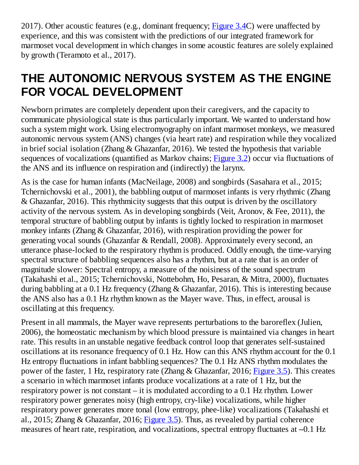2017). Other acoustic features (e.g., dominant frequency; [Figure](#page-13-0) 3.4C) were unaffected by experience, and this was consistent with the predictions of our integrated framework for marmoset vocal development in which changes in some acoustic features are solely explained by growth (Teramoto et al., 2017).

#### **THE AUTONOMIC NERVOUS SYSTEM AS THE ENGINE FOR VOCAL DEVELOPMENT**

Newborn primates are completely dependent upon their caregivers, and the capacity to communicate physiological state is thus particularly important. We wanted to understand how such a system might work. Using electromyography on infant marmoset monkeys, we measured autonomic nervous system (ANS) changes (via heart rate) and respiration while they vocalized in brief social isolation (Zhang & Ghazanfar, 2016). We tested the hypothesis that variable sequences of vocalizations (quantified as Markov chains; [Figure](#page-8-0) 3.2) occur via fluctuations of the ANS and its influence on respiration and (indirectly) the larynx.

As is the case for human infants (MacNeilage, 2008) and songbirds (Sasahara et al., 2015; Tchernichovski et al., 2001), the babbling output of marmoset infants is very rhythmic (Zhang & Ghazanfar, 2016). This rhythmicity suggests that this output is driven by the oscillatory activity of the nervous system. As in developing songbirds (Veit, Aronov, & Fee, 2011), the temporal structure of babbling output by infants is tightly locked to respiration in marmoset monkey infants (Zhang & Ghazanfar, 2016), with respiration providing the power for generating vocal sounds (Ghazanfar & Rendall, 2008). Approximately every second, an utterance phase-locked to the respiratory rhythm is produced. Oddly enough, the time-varying spectral structure of babbling sequences also has a rhythm, but at a rate that is an order of magnitude slower: Spectral entropy, a measure of the noisiness of the sound spectrum (Takahashi et al., 2015; Tchernichovski, Nottebohm, Ho, Pesaran, & Mitra, 2000), fluctuates during babbling at a 0.1 Hz frequency (Zhang & Ghazanfar, 2016). This is interesting because the ANS also has a 0.1 Hz rhythm known as the Mayer wave. Thus, in effect, arousal is oscillating at this frequency.

<span id="page-14-0"></span>Present in all mammals, the Mayer wave represents perturbations to the baroreflex (Julien, 2006), the homeostatic mechanism by which blood pressure is maintained via changes in heart rate. This results in an unstable negative feedback control loop that generates self-sustained oscillations at its resonance frequency of 0.1 Hz. How can this ANS rhythm account for the 0.1 Hz entropy fluctuations in infant babbling sequences? The 0.1 Hz ANS rhythm modulates the power of the faster, 1 Hz, respiratory rate (Zhang & Ghazanfar, 2016; [Figure](#page-15-0) 3.5). This creates a scenario in which marmoset infants produce vocalizations at a rate of 1 Hz, but the respiratory power is not constant – it is modulated according to a 0.1 Hz rhythm. Lower respiratory power generates noisy (high entropy, cry-like) vocalizations, while higher respiratory power generates more tonal (low entropy, phee-like) vocalizations (Takahashi et al., 2015; Zhang & Ghazanfar, 2016; [Figure](#page-15-0) 3.5). Thus, as revealed by partial coherence measures of heart rate, respiration, and vocalizations, spectral entropy fluctuates at  $\sim 0.1$  Hz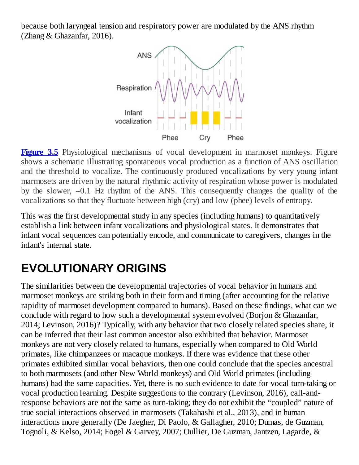because both laryngeal tension and respiratory power are modulated by the ANS rhythm (Zhang & Ghazanfar, 2016).



<span id="page-15-0"></span>**[Figure](#page-14-0)** 3.5 Physiological mechanisms of vocal development in marmoset monkeys. Figure shows a schematic illustrating spontaneous vocal production as a function of ANS oscillation and the threshold to vocalize. The continuously produced vocalizations by very young infant marmosets are driven by the natural rhythmic activity of respiration whose power is modulated by the slower,  $\sim 0.1$  Hz rhythm of the ANS. This consequently changes the quality of the vocalizations so that they fluctuate between high (cry) and low (phee) levels of entropy.

This was the first developmental study in any species (including humans) to quantitatively establish a link between infant vocalizations and physiological states. It demonstrates that infant vocal sequences can potentially encode, and communicate to caregivers, changes in the infant's internal state.

# **EVOLUTIONARY ORIGINS**

The similarities between the developmental trajectories of vocal behavior in humans and marmoset monkeys are striking both in their form and timing (after accounting for the relative rapidity of marmoset development compared to humans). Based on these findings, what can we conclude with regard to how such a developmental system evolved (Borjon & Ghazanfar, 2014; Levinson, 2016)? Typically, with any behavior that two closely related species share, it can be inferred that their last common ancestor also exhibited that behavior. Marmoset monkeys are not very closely related to humans, especially when compared to Old World primates, like chimpanzees or macaque monkeys. If there was evidence that these other primates exhibited similar vocal behaviors, then one could conclude that the species ancestral to both marmosets (and other New World monkeys) and Old World primates (including humans) had the same capacities. Yet, there is no such evidence to date for vocal turn-taking or vocal production learning. Despite suggestions to the contrary (Levinson, 2016), call-andresponse behaviors are not the same as turn-taking; they do not exhibit the "coupled" nature of true social interactions observed in marmosets (Takahashi et al., 2013), and in human interactions more generally (De Jaegher, Di Paolo, & Gallagher, 2010; Dumas, de Guzman, Tognoli, & Kelso, 2014; Fogel & Garvey, 2007; Oullier, De Guzman, Jantzen, Lagarde, &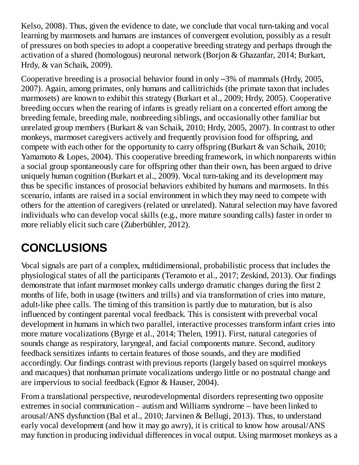Kelso, 2008). Thus, given the evidence to date, we conclude that vocal turn-taking and vocal learning by marmosets and humans are instances of convergent evolution, possibly as a result of pressures on both species to adopt a cooperative breeding strategy and perhaps through the activation of a shared (homologous) neuronal network (Borjon & Ghazanfar, 2014; Burkart, Hrdy, & van Schaik, 2009).

Cooperative breeding is a prosocial behavior found in only  $\sim$ 3% of mammals (Hrdy, 2005, 2007). Again, among primates, only humans and callitrichids (the primate taxon that includes marmosets) are known to exhibit this strategy (Burkart et al., 2009; Hrdy, 2005). Cooperative breeding occurs when the rearing of infants is greatly reliant on a concerted effort among the breeding female, breeding male, nonbreeding siblings, and occasionally other familiar but unrelated group members (Burkart & van Schaik, 2010; Hrdy, 2005, 2007). In contrast to other monkeys, marmoset caregivers actively and frequently provision food for offspring, and compete with each other for the opportunity to carry offspring (Burkart & van Schaik, 2010; Yamamoto & Lopes, 2004). This cooperative breeding framework, in which nonparents within a social group spontaneously care for offspring other than their own, has been argued to drive uniquely human cognition (Burkart et al., 2009). Vocal turn-taking and its development may thus be specific instances of prosocial behaviors exhibited by humans and marmosets. In this scenario, infants are raised in a social environment in which they may need to compete with others for the attention of caregivers (related or unrelated). Natural selection may have favored individuals who can develop vocal skills (e.g., more mature sounding calls) faster in order to more reliably elicit such care (Zuberbühler, 2012).

#### **CONCLUSIONS**

Vocal signals are part of a complex, multidimensional, probabilistic process that includes the physiological states of all the participants (Teramoto et al., 2017; Zeskind, 2013). Our findings demonstrate that infant marmoset monkey calls undergo dramatic changes during the first 2 months of life, both in usage (twitters and trills) and via transformation of cries into mature, adult-like phee calls. The timing of this transition is partly due to maturation, but is also influenced by contingent parental vocal feedback. This is consistent with preverbal vocal development in humans in which two parallel, interactive processes transform infant cries into more mature vocalizations (Byrge et al., 2014; Thelen, 1991). First, natural categories of sounds change as respiratory, laryngeal, and facial components mature. Second, auditory feedback sensitizes infants to certain features of those sounds, and they are modified accordingly. Our findings contrast with previous reports (largely based on squirrel monkeys and macaques) that nonhuman primate vocalizations undergo little or no postnatal change and are impervious to social feedback (Egnor & Hauser, 2004).

From a translational perspective, neurodevelopmental disorders representing two opposite extremes in social communication – autism and Williams syndrome – have been linked to arousal/ANS dysfunction (Bal et al., 2010; Jarvinen & Bellugi, 2013). Thus, to understand early vocal development (and how it may go awry), it is critical to know how arousal/ANS may function in producing individual differences in vocal output. Using marmoset monkeys as a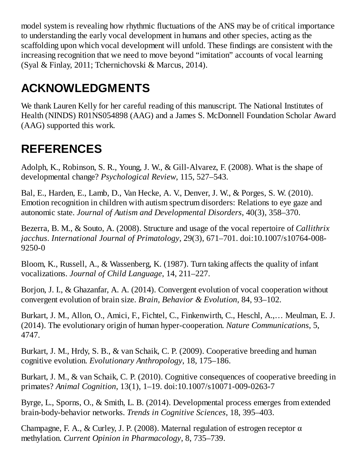model system is revealing how rhythmic fluctuations of the ANS may be of critical importance to understanding the early vocal development in humans and other species, acting as the scaffolding upon which vocal development will unfold. These findings are consistent with the increasing recognition that we need to move beyond "imitation" accounts of vocal learning (Syal & Finlay, 2011; Tchernichovski & Marcus, 2014).

### **ACKNOWLEDGMENTS**

We thank Lauren Kelly for her careful reading of this manuscript. The National Institutes of Health (NINDS) R01NS054898 (AAG) and a James S. McDonnell Foundation Scholar Award (AAG) supported this work.

#### **REFERENCES**

Adolph, K., Robinson, S. R., Young, J. W., & Gill-Alvarez, F. (2008). What is the shape of developmental change? *Psychological Review*, 115, 527–543.

Bal, E., Harden, E., Lamb, D., Van Hecke, A. V., Denver, J. W., & Porges, S. W. (2010). Emotion recognition in children with autism spectrum disorders: Relations to eye gaze and autonomic state. *Journal of Autism and Developmental Disorders*, 40(3), 358–370.

Bezerra, B. M., & Souto, A. (2008). Structure and usage of the vocal repertoire of *Callithrix jacchus*. *International Journal of Primatology*, 29(3), 671–701. doi:10.1007/s10764-008- 9250-0

Bloom, K., Russell, A., & Wassenberg, K. (1987). Turn taking affects the quality of infant vocalizations. *Journal of Child Language*, 14, 211–227.

Borjon, J. I., & Ghazanfar, A. A. (2014). Convergent evolution of vocal cooperation without convergent evolution of brain size. *Brain, Behavior & Evolution*, 84, 93–102.

Burkart, J. M., Allon, O., Amici, F., Fichtel, C., Finkenwirth, C., Heschl, A.,… Meulman, E. J. (2014). The evolutionary origin of human hyper-cooperation. *Nature Communications*, 5, 4747.

Burkart, J. M., Hrdy, S. B., & van Schaik, C. P. (2009). Cooperative breeding and human cognitive evolution. *Evolutionary Anthropology*, 18, 175–186.

Burkart, J. M., & van Schaik, C. P. (2010). Cognitive consequences of cooperative breeding in primates? *Animal Cognition*, 13(1), 1–19. doi:10.1007/s10071-009-0263-7

Byrge, L., Sporns, O., & Smith, L. B. (2014). Developmental process emerges from extended brain-body-behavior networks. *Trends in Cognitive Sciences*, 18, 395–403.

Champagne, F. A., & Curley, J. P. (2008). Maternal regulation of estrogen receptor α methylation. *Current Opinion in Pharmacology*, 8, 735–739.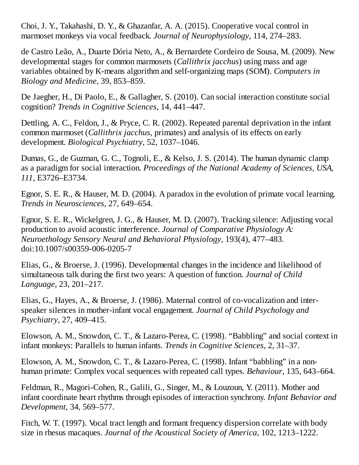Choi, J. Y., Takahashi, D. Y., & Ghazanfar, A. A. (2015). Cooperative vocal control in marmoset monkeys via vocal feedback. *Journal of Neurophysiology*, 114, 274–283.

de Castro Leão, A., Duarte Dória Neto, A., & Bernardete Cordeiro de Sousa, M. (2009). New developmental stages for common marmosets (*Callithrix jacchus*) using mass and age variables obtained by K-means algorithm and self-organizing maps (SOM). *Computers in Biology and Medicine*, 39, 853–859.

De Jaegher, H., Di Paolo, E., & Gallagher, S. (2010). Can social interaction constitute social cognition? *Trends in Cognitive Sciences*, 14, 441–447.

Dettling, A. C., Feldon, J., & Pryce, C. R. (2002). Repeated parental deprivation in the infant common marmoset (*Callithrix jacchus*, primates) and analysis of its effects on early development. *Biological Psychiatry*, 52, 1037–1046.

Dumas, G., de Guzman, G. C., Tognoli, E., & Kelso, J. S. (2014). The human dynamic clamp as a paradigm for social interaction. *Proceedings of the National Academy of Sciences, USA, 111,* E3726–E3734.

Egnor, S. E. R., & Hauser, M. D. (2004). A paradox in the evolution of primate vocal learning. *Trends in Neurosciences*, 27, 649–654.

Egnor, S. E. R., Wickelgren, J. G., & Hauser, M. D. (2007). Tracking silence: Adjusting vocal production to avoid acoustic interference. *Journal of Comparative Physiology A: Neuroethology Sensory Neural and Behavioral Physiology*, 193(4), 477–483. doi:10.1007/s00359-006-0205-7

Elias, G., & Broerse, J. (1996). Developmental changes in the incidence and likelihood of simultaneous talk during the first two years: A question of function. *Journal of Child Language*, 23, 201–217.

Elias, G., Hayes, A., & Broerse, J. (1986). Maternal control of co-vocalization and interspeaker silences in mother-infant vocal engagement. *Journal of Child Psychology and Psychiatry*, 27, 409–415.

Elowson, A. M., Snowdon, C. T., & Lazaro-Perea, C. (1998). "Babbling" and social context in infant monkeys: Parallels to human infants. *Trends in Cognitive Sciences*, 2, 31–37.

Elowson, A. M., Snowdon, C. T., & Lazaro-Perea, C. (1998). Infant "babbling" in a nonhuman primate: Complex vocal sequences with repeated call types. *Behaviour*, 135, 643–664.

Feldman, R., Magori-Cohen, R., Galili, G., Singer, M., & Louzoun, Y. (2011). Mother and infant coordinate heart rhythms through episodes of interaction synchrony. *Infant Behavior and Development*, 34, 569–577.

Fitch, W. T. (1997). Vocal tract length and formant frequency dispersion correlate with body size in rhesus macaques. *Journal of the Acoustical Society of America*, 102, 1213–1222.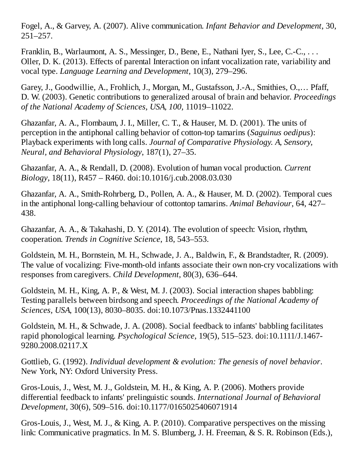Fogel, A., & Garvey, A. (2007). Alive communication. *Infant Behavior and Development*, 30, 251–257.

Franklin, B., Warlaumont, A. S., Messinger, D., Bene, E., Nathani Iyer, S., Lee, C.-C., ... Oller, D. K. (2013). Effects of parental Interaction on infant vocalization rate, variability and vocal type. *Language Learning and Development*, 10(3), 279–296.

Garey, J., Goodwillie, A., Frohlich, J., Morgan, M., Gustafsson, J.-A., Smithies, O.,… Pfaff, D. W. (2003). Genetic contributions to generalized arousal of brain and behavior. *Proceedings of the National Academy of Sciences, USA, 100,* 11019–11022.

Ghazanfar, A. A., Flombaum, J. I., Miller, C. T., & Hauser, M. D. (2001). The units of perception in the antiphonal calling behavior of cotton-top tamarins (*Saguinus oedipus*): Playback experiments with long calls. *Journal of Comparative Physiology. A, Sensory, Neural, and Behavioral Physiology*, 187(1), 27–35.

Ghazanfar, A. A., & Rendall, D. (2008). Evolution of human vocal production. *Current Biology*, 18(11), R457 – R460. doi:10.1016/j.cub.2008.03.030

Ghazanfar, A. A., Smith-Rohrberg, D., Pollen, A. A., & Hauser, M. D. (2002). Temporal cues in the antiphonal long-calling behaviour of cottontop tamarins. *Animal Behaviour*, 64, 427– 438.

Ghazanfar, A. A., & Takahashi, D. Y. (2014). The evolution of speech: Vision, rhythm, cooperation. *Trends in Cognitive Science*, 18, 543–553.

Goldstein, M. H., Bornstein, M. H., Schwade, J. A., Baldwin, F., & Brandstadter, R. (2009). The value of vocalizing: Five-month-old infants associate their own non-cry vocalizations with responses from caregivers. *Child Development*, 80(3), 636–644.

Goldstein, M. H., King, A. P., & West, M. J. (2003). Social interaction shapes babbling: Testing parallels between birdsong and speech. *Proceedings of the National Academy of Sciences, USA*, 100(13), 8030–8035. doi:10.1073/Pnas.1332441100

Goldstein, M. H., & Schwade, J. A. (2008). Social feedback to infants' babbling facilitates rapid phonological learning. *Psychological Science*, 19(5), 515–523. doi:10.1111/J.1467- 9280.2008.02117.X

Gottlieb, G. (1992). *Individual development & evolution: The genesis of novel behavior*. New York, NY: Oxford University Press.

Gros-Louis, J., West, M. J., Goldstein, M. H., & King, A. P. (2006). Mothers provide differential feedback to infants' prelinguistic sounds. *International Journal of Behavioral Development*, 30(6), 509–516. doi:10.1177/0165025406071914

Gros-Louis, J., West, M. J., & King, A. P. (2010). Comparative perspectives on the missing link: Communicative pragmatics. In M. S. Blumberg, J. H. Freeman, & S. R. Robinson (Eds.),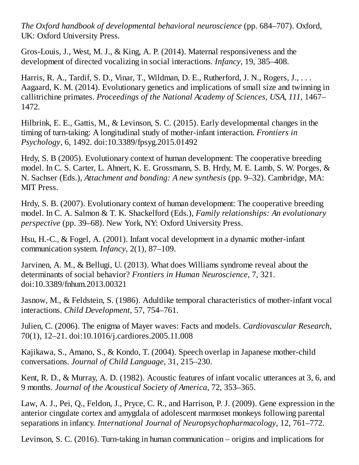*The Oxford handbook of developmental behavioral neuroscience* (pp. 684–707). Oxford, UK: Oxford University Press.

Gros-Louis, J., West, M. J., & King, A. P. (2014). Maternal responsiveness and the development of directed vocalizing in social interactions. *Infancy*, 19, 385–408.

Harris, R. A., Tardif, S. D., Vinar, T., Wildman, D. E., Rutherford, J. N., Rogers, J., ... Aagaard, K. M. (2014). Evolutionary genetics and implications of small size and twinning in callitrichine primates. *Proceedings of the National Academy of Sciences, USA, 111*, 1467– 1472.

Hilbrink, E. E., Gattis, M., & Levinson, S. C. (2015). Early developmental changes in the timing of turn-taking: A longitudinal study of mother-infant interaction. *Frontiers in Psychology*, 6, 1492. doi:10.3389/fpsyg.2015.01492

Hrdy, S. B (2005). Evolutionary context of human development: The cooperative breeding model. In C. S. Carter, L. Ahnert, K. E. Grossmann, S. B. Hrdy, M. E. Lamb, S. W. Porges, & N. Sachser (Eds.), *Attachment and bonding: A new synthesis* (pp. 9–32). Cambridge, MA: MIT Press.

Hrdy, S. B. (2007). Evolutionary context of human development: The cooperative breeding model. In C. A. Salmon & T. K. Shackelford (Eds.), *Family relationships: An evolutionary perspective* (pp. 39–68). New York, NY: Oxford University Press.

Hsu, H.-C., & Fogel, A. (2001). Infant vocal development in a dynamic mother-infant communication system. *Infancy*, 2(1), 87–109.

Jarvinen, A. M., & Bellugi, U. (2013). What does Williams syndrome reveal about the determinants of social behavior? *Frontiers in Human Neuroscience*, 7, 321. doi:10.3389/fnhum.2013.00321

Jasnow, M., & Feldstein, S. (1986). Adultlike temporal characteristics of mother-infant vocal interactions. *Child Development*, 57, 754–761.

Julien, C. (2006). The enigma of Mayer waves: Facts and models. *Cardiovascular Research*, 70(1), 12–21. doi:10.1016/j.cardiores.2005.11.008

Kajikawa, S., Amano, S., & Kondo, T. (2004). Speech overlap in Japanese mother-child conversations. *Journal of Child Language*, 31, 215–230.

Kent, R. D., & Murray, A. D. (1982). Acoustic features of infant vocalic utterances at 3, 6, and 9 months. *Journal of the Acoustical Society of America*, 72, 353–365.

Law, A. J., Pei, Q., Feldon, J., Pryce, C. R., and Harrison, P. J. (2009). Gene expression in the anterior cingulate cortex and amygdala of adolescent marmoset monkeys following parental separations in infancy. *International Journal of Neuropsychopharmacology*, 12, 761–772.

Levinson, S. C. (2016). Turn-taking in human communication – origins and implications for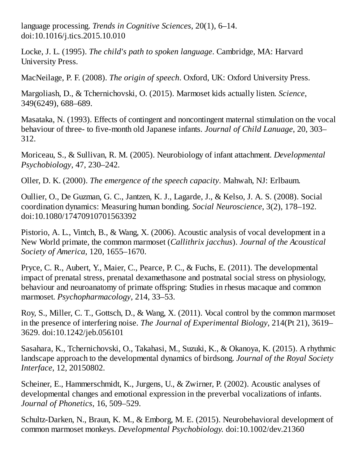language processing. *Trends in Cognitive Sciences*, 20(1), 6–14. doi:10.1016/j.tics.2015.10.010

Locke, J. L. (1995). *The child's path to spoken language*. Cambridge, MA: Harvard University Press.

MacNeilage, P. F. (2008). *The origin of speech*. Oxford, UK: Oxford University Press.

Margoliash, D., & Tchernichovski, O. (2015). Marmoset kids actually listen. *Science*, 349(6249), 688–689.

Masataka, N. (1993). Effects of contingent and noncontingent maternal stimulation on the vocal behaviour of three- to five-month old Japanese infants. *Journal of Child Lanuage*, 20, 303– 312.

Moriceau, S., & Sullivan, R. M. (2005). Neurobiology of infant attachment. *Developmental Psychobiology*, 47, 230–242.

Oller, D. K. (2000). *The emergence of the speech capacity*. Mahwah, NJ: Erlbaum.

Oullier, O., De Guzman, G. C., Jantzen, K. J., Lagarde, J., & Kelso, J. A. S. (2008). Social coordination dynamics: Measuring human bonding. *Social Neuroscience*, 3(2), 178–192. doi:10.1080/17470910701563392

Pistorio, A. L., Vintch, B., & Wang, X. (2006). Acoustic analysis of vocal development in a New World primate, the common marmoset (*Callithrix jacchus*). *Journal of the Acoustical Society of America*, 120, 1655–1670.

Pryce, C. R., Aubert, Y., Maier, C., Pearce, P. C., & Fuchs, E. (2011). The developmental impact of prenatal stress, prenatal dexamethasone and postnatal social stress on physiology, behaviour and neuroanatomy of primate offspring: Studies in rhesus macaque and common marmoset. *Psychopharmacology*, 214, 33–53.

Roy, S., Miller, C. T., Gottsch, D., & Wang, X. (2011). Vocal control by the common marmoset in the presence of interfering noise. *The Journal of Experimental Biology*, 214(Pt 21), 3619– 3629. doi:10.1242/jeb.056101

Sasahara, K., Tchernichovski, O., Takahasi, M., Suzuki, K., & Okanoya, K. (2015). A rhythmic landscape approach to the developmental dynamics of birdsong. *Journal of the Royal Society Interface*, 12, 20150802.

Scheiner, E., Hammerschmidt, K., Jurgens, U., & Zwirner, P. (2002). Acoustic analyses of developmental changes and emotional expression in the preverbal vocalizations of infants. *Journal of Phonetics*, 16, 509–529.

Schultz-Darken, N., Braun, K. M., & Emborg, M. E. (2015). Neurobehavioral development of common marmoset monkeys. *Developmental Psychobiology.* doi:10.1002/dev.21360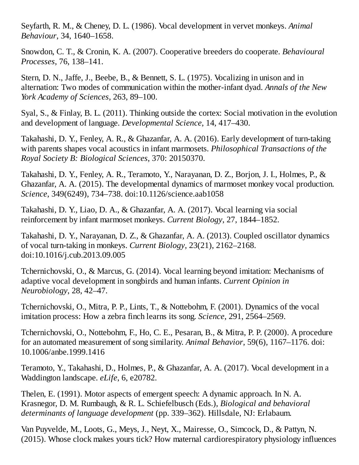Seyfarth, R. M., & Cheney, D. L. (1986). Vocal development in vervet monkeys. *Animal Behaviour*, 34, 1640–1658.

Snowdon, C. T., & Cronin, K. A. (2007). Cooperative breeders do cooperate. *Behavioural Processes*, 76, 138–141.

Stern, D. N., Jaffe, J., Beebe, B., & Bennett, S. L. (1975). Vocalizing in unison and in alternation: Two modes of communication within the mother-infant dyad. *Annals of the New York Academy of Sciences*, 263, 89–100.

Syal, S., & Finlay, B. L. (2011). Thinking outside the cortex: Social motivation in the evolution and development of language. *Developmental Science*, 14, 417–430.

Takahashi, D. Y., Fenley, A. R., & Ghazanfar, A. A. (2016). Early development of turn-taking with parents shapes vocal acoustics in infant marmosets. *Philosophical Transactions of the Royal Society B: Biological Sciences*, 370: 20150370.

Takahashi, D. Y., Fenley, A. R., Teramoto, Y., Narayanan, D. Z., Borjon, J. I., Holmes, P., & Ghazanfar, A. A. (2015). The developmental dynamics of marmoset monkey vocal production. *Science*, 349(6249), 734–738. doi:10.1126/science.aab1058

Takahashi, D. Y., Liao, D. A., & Ghazanfar, A. A. (2017). Vocal learning via social reinforcement by infant marmoset monkeys. *Current Biology*, 27, 1844–1852.

Takahashi, D. Y., Narayanan, D. Z., & Ghazanfar, A. A. (2013). Coupled oscillator dynamics of vocal turn-taking in monkeys. *Current Biology*, 23(21), 2162–2168. doi:10.1016/j.cub.2013.09.005

Tchernichovski, O., & Marcus, G. (2014). Vocal learning beyond imitation: Mechanisms of adaptive vocal development in songbirds and human infants. *Current Opinion in Neurobiology*, 28, 42–47.

Tchernichovski, O., Mitra, P. P., Lints, T., & Nottebohm, F. (2001). Dynamics of the vocal imitation process: How a zebra finch learns its song. *Science*, 291, 2564–2569.

Tchernichovski, O., Nottebohm, F., Ho, C. E., Pesaran, B., & Mitra, P. P. (2000). A procedure for an automated measurement of song similarity. *Animal Behavior*, 59(6), 1167–1176. doi: 10.1006/anbe.1999.1416

Teramoto, Y., Takahashi, D., Holmes, P., & Ghazanfar, A. A. (2017). Vocal development in a Waddington landscape. *eLife*, 6, e20782.

Thelen, E. (1991). Motor aspects of emergent speech: A dynamic approach. In N. A. Krasnegor, D. M. Rumbaugh, & R. L. Schiefelbusch (Eds.), *Biological and behavioral determinants of language development* (pp. 339–362). Hillsdale, NJ: Erlabaum.

Van Puyvelde, M., Loots, G., Meys, J., Neyt, X., Mairesse, O., Simcock, D., & Pattyn, N. (2015). Whose clock makes yours tick? How maternal cardiorespiratory physiology influences